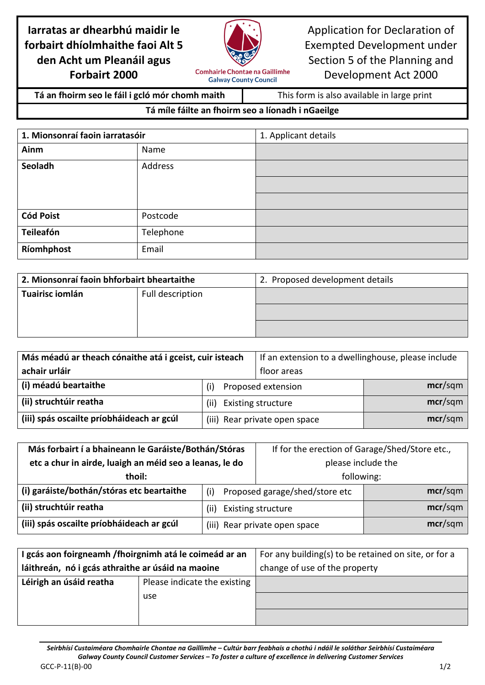## **Iarratas ar dhearbhú maidir le forbairt dhíolmhaithe faoi Alt 5 den Acht um Pleanáil agus Forbairt 2000**



Application for Declaration of Exempted Development under Section 5 of the Planning and Development Act 2000

**Tá an fhoirm seo le fáil i gcló mór chomh maith** This form is also available in large print

## **Tá míle fáilte an fhoirm seo a líonadh i nGaeilge**

**Galway County Council** 

| 1. Mionsonraí faoin iarratasóir |           | 1. Applicant details |
|---------------------------------|-----------|----------------------|
| Ainm                            | Name      |                      |
| Seoladh                         | Address   |                      |
|                                 |           |                      |
|                                 |           |                      |
| <b>Cód Poist</b>                | Postcode  |                      |
| Teileafón                       | Telephone |                      |
| Ríomhphost                      | Email     |                      |

| 2. Mionsonraí faoin bhforbairt bheartaithe |  | 2. Proposed development details |
|--------------------------------------------|--|---------------------------------|
| Tuairisc iomlán<br>Full description        |  |                                 |
|                                            |  |                                 |
|                                            |  |                                 |

| Más méadú ar theach cónaithe atá i gceist, cuir isteach |                                   | If an extension to a dwellinghouse, please include |         |
|---------------------------------------------------------|-----------------------------------|----------------------------------------------------|---------|
| achair urláir                                           |                                   | floor areas                                        |         |
| (i) méadú beartaithe                                    | Proposed extension<br>(i)         |                                                    | mcr/sqm |
| (ii) struchtúir reatha                                  | <b>Existing structure</b><br>(ii) |                                                    | mcr/sgm |
| (iii) spás oscailte príobháideach ar gcúl               |                                   | (iii) Rear private open space                      | mcr/sgm |

| Más forbairt í a bhaineann le Garáiste/Bothán/Stóras    |                                       | If for the erection of Garage/Shed/Store etc., |         |
|---------------------------------------------------------|---------------------------------------|------------------------------------------------|---------|
| etc a chur in airde, luaigh an méid seo a leanas, le do |                                       | please include the                             |         |
| thoil:                                                  |                                       | following:                                     |         |
| (i) garáiste/bothán/stóras etc beartaithe               | Proposed garage/shed/store etc<br>(i) |                                                | mcr/sqm |
| (ii) struchtúir reatha                                  | <b>Existing structure</b><br>(ii)     |                                                | mcr/sqm |
| (iii) spás oscailte príobháideach ar gcúl               | (iii) Rear private open space         |                                                | mcr/sqm |

| I gcás aon foirgneamh / fhoirgnimh atá le coimeád ar an |                              | For any building(s) to be retained on site, or for a |  |
|---------------------------------------------------------|------------------------------|------------------------------------------------------|--|
| láithreán, nó i gcás athraithe ar úsáid na maoine       |                              | change of use of the property                        |  |
| Léirigh an úsáid reatha                                 | Please indicate the existing |                                                      |  |
|                                                         | use                          |                                                      |  |
|                                                         |                              |                                                      |  |

*Seirbhísí Custaiméara Chomhairle Chontae na Gaillimhe – Cultúr barr feabhais a chothú i ndáil le soláthar Seirbhísí Custaiméara Galway County Council Customer Services – To foster a culture of excellence in delivering Customer Services* GCC-P-11(B)-00 1/2